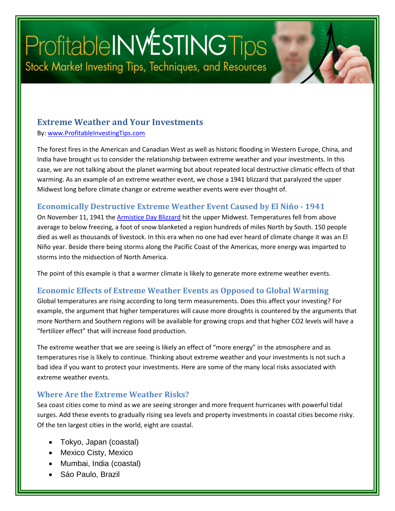# Profitable INVESTING Tips Stock Market Investing Tips, Techniques, and Resources

#### **Extreme Weather and Your Investments**

By: [www.ProfitableInvestingTips.com](http://www.profitableinvestingtips.com/)

The forest fires in the American and Canadian West as well as historic flooding in Western Europe, China, and India have brought us to consider the relationship between extreme weather and your investments. In this case, we are not talking about the planet warming but about repeated local destructive climatic effects of that warming. As an example of an extreme weather event, we chose a 1941 blizzard that paralyzed the upper Midwest long before climate change or extreme weather events were ever thought of.

#### **Economically Destructive Extreme Weather Event Caused by El Niño - 1941**

On November 11, 1941 th[e Armistice Day Blizzard](https://www.weather.gov/dvn/armistice_day_blizzard#:%7E:text=The%20blizzard%20that%20struck%20the,the%20morning%20of%20November%2011th.) hit the upper Midwest. Temperatures fell from above average to below freezing, a foot of snow blanketed a region hundreds of miles North by South. 150 people died as well as thousands of livestock. In this era when no one had ever heard of climate change it was an El Niño year. Beside there being storms along the Pacific Coast of the Americas, more energy was imparted to storms into the midsection of North America.

The point of this example is that a warmer climate is likely to generate more extreme weather events.

#### **Economic Effects of Extreme Weather Events as Opposed to Global Warming**

Global temperatures are rising according to long term measurements. Does this affect your investing? For example, the argument that higher temperatures will cause more droughts is countered by the arguments that more Northern and Southern regions will be available for growing crops and that higher CO2 levels will have a "fertilizer effect" that will increase food production.

The extreme weather that we are seeing is likely an effect of "more energy" in the atmosphere and as temperatures rise is likely to continue. Thinking about extreme weather and your investments is not such a bad idea if you want to protect your investments. Here are some of the many local risks associated with extreme weather events.

#### **Where Are the Extreme Weather Risks?**

Sea coast cities come to mind as we are seeing stronger and more frequent hurricanes with powerful tidal surges. Add these events to gradually rising sea levels and property investments in coastal cities become risky. Of the ten largest cities in the world, eight are coastal.

- Tokyo, Japan (coastal)
- Mexico Cisty, Mexico
- Mumbai, India (coastal)
- Sáo Paulo, Brazil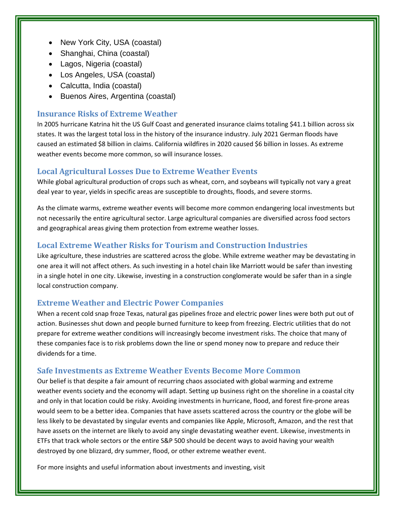- New York City, USA (coastal)
- Shanghai, China (coastal)
- Lagos, Nigeria (coastal)
- Los Angeles, USA (coastal)
- Calcutta, India (coastal)
- Buenos Aires, Argentina (coastal)

#### **Insurance Risks of Extreme Weather**

In 2005 hurricane Katrina hit the US Gulf Coast and generated insurance claims totaling \$41.1 billion across six states. It was the largest total loss in the history of the insurance industry. July 2021 German floods have caused an estimated \$8 billion in claims. California wildfires in 2020 caused \$6 billion in losses. As extreme weather events become more common, so will insurance losses.

#### **Local Agricultural Losses Due to Extreme Weather Events**

While global agricultural production of crops such as wheat, corn, and soybeans will typically not vary a great deal year to year, yields in specific areas are susceptible to droughts, floods, and severe storms.

As the climate warms, extreme weather events will become more common endangering local investments but not necessarily the entire agricultural sector. Large agricultural companies are diversified across food sectors and geographical areas giving them protection from extreme weather losses.

#### **Local Extreme Weather Risks for Tourism and Construction Industries**

Like agriculture, these industries are scattered across the globe. While extreme weather may be devastating in one area it will not affect others. As such investing in a hotel chain like Marriott would be safer than investing in a single hotel in one city. Likewise, investing in a construction conglomerate would be safer than in a single local construction company.

#### **Extreme Weather and Electric Power Companies**

When a recent cold snap froze Texas, natural gas pipelines froze and electric power lines were both put out of action. Businesses shut down and people burned furniture to keep from freezing. Electric utilities that do not prepare for extreme weather conditions will increasingly become investment risks. The choice that many of these companies face is to risk problems down the line or spend money now to prepare and reduce their dividends for a time.

#### **Safe Investments as Extreme Weather Events Become More Common**

Our belief is that despite a fair amount of recurring chaos associated with global warming and extreme weather events society and the economy will adapt. Setting up business right on the shoreline in a coastal city and only in that location could be risky. Avoiding investments in hurricane, flood, and forest fire-prone areas would seem to be a better idea. Companies that have assets scattered across the country or the globe will be less likely to be devastated by singular events and companies like Apple, Microsoft, Amazon, and the rest that have assets on the internet are likely to avoid any single devastating weather event. Likewise, investments in ETFs that track whole sectors or the entire S&P 500 should be decent ways to avoid having your wealth destroyed by one blizzard, dry summer, flood, or other extreme weather event.

For more insights and useful information about investments and investing, visit